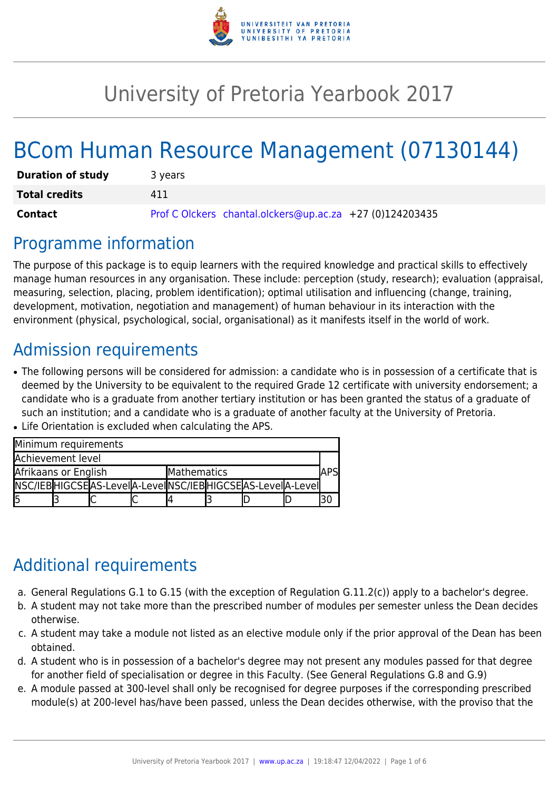

# University of Pretoria Yearbook 2017

# BCom Human Resource Management (07130144)

| <b>Duration of study</b> | 3 years                                                  |
|--------------------------|----------------------------------------------------------|
| <b>Total credits</b>     | 411                                                      |
| Contact                  | Prof C Olckers chantal.olckers@up.ac.za +27 (0)124203435 |

### Programme information

The purpose of this package is to equip learners with the required knowledge and practical skills to effectively manage human resources in any organisation. These include: perception (study, research); evaluation (appraisal, measuring, selection, placing, problem identification); optimal utilisation and influencing (change, training, development, motivation, negotiation and management) of human behaviour in its interaction with the environment (physical, psychological, social, organisational) as it manifests itself in the world of work.

# Admission requirements

• The following persons will be considered for admission: a candidate who is in possession of a certificate that is deemed by the University to be equivalent to the required Grade 12 certificate with university endorsement; a candidate who is a graduate from another tertiary institution or has been granted the status of a graduate of such an institution; and a candidate who is a graduate of another faculty at the University of Pretoria.

| Minimum requirements |  |                                                                |             |  |  |  |  |  |  |  |
|----------------------|--|----------------------------------------------------------------|-------------|--|--|--|--|--|--|--|
| Achievement level    |  |                                                                |             |  |  |  |  |  |  |  |
| Afrikaans or English |  |                                                                | Mathematics |  |  |  |  |  |  |  |
|                      |  | NSC/IEB HIGCSE AS-Leve  A-Leve  NSC/IEB HIGCSE AS-Leve  A-Leve |             |  |  |  |  |  |  |  |
| l5                   |  |                                                                |             |  |  |  |  |  |  |  |

• Life Orientation is excluded when calculating the APS.

### Additional requirements

- a. General Regulations G.1 to G.15 (with the exception of Regulation G.11.2(c)) apply to a bachelor's degree.
- b. A student may not take more than the prescribed number of modules per semester unless the Dean decides otherwise.
- c. A student may take a module not listed as an elective module only if the prior approval of the Dean has been obtained.
- d. A student who is in possession of a bachelor's degree may not present any modules passed for that degree for another field of specialisation or degree in this Faculty. (See General Regulations G.8 and G.9)
- e. A module passed at 300-level shall only be recognised for degree purposes if the corresponding prescribed module(s) at 200-level has/have been passed, unless the Dean decides otherwise, with the proviso that the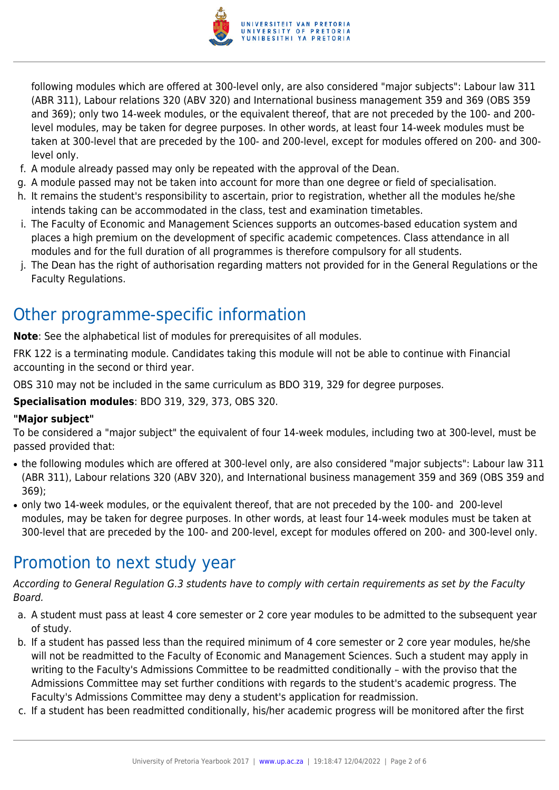

following modules which are offered at 300-level only, are also considered "major subjects": Labour law 311 (ABR 311), Labour relations 320 (ABV 320) and International business management 359 and 369 (OBS 359 and 369); only two 14-week modules, or the equivalent thereof, that are not preceded by the 100- and 200 level modules, may be taken for degree purposes. In other words, at least four 14-week modules must be taken at 300-level that are preceded by the 100- and 200-level, except for modules offered on 200- and 300 level only.

- f. A module already passed may only be repeated with the approval of the Dean.
- g. A module passed may not be taken into account for more than one degree or field of specialisation.
- h. It remains the student's responsibility to ascertain, prior to registration, whether all the modules he/she intends taking can be accommodated in the class, test and examination timetables.
- i. The Faculty of Economic and Management Sciences supports an outcomes-based education system and places a high premium on the development of specific academic competences. Class attendance in all modules and for the full duration of all programmes is therefore compulsory for all students.
- j. The Dean has the right of authorisation regarding matters not provided for in the General Regulations or the Faculty Regulations.

## Other programme-specific information

**Note:** See the alphabetical list of modules for prerequisites of all modules.

FRK 122 is a terminating module. Candidates taking this module will not be able to continue with Financial accounting in the second or third year.

OBS 310 may not be included in the same curriculum as BDO 319, 329 for degree purposes.

**Specialisation modules**: BDO 319, 329, 373, OBS 320.

#### **"Major subject"**

To be considered a "major subject" the equivalent of four 14-week modules, including two at 300-level, must be passed provided that:

- the following modules which are offered at 300-level only, are also considered "major subjects": Labour law 311 (ABR 311), Labour relations 320 (ABV 320), and International business management 359 and 369 (OBS 359 and 369);
- only two 14-week modules, or the equivalent thereof, that are not preceded by the 100- and 200-level modules, may be taken for degree purposes. In other words, at least four 14-week modules must be taken at 300-level that are preceded by the 100- and 200-level, except for modules offered on 200- and 300-level only.

#### Promotion to next study year

According to General Regulation G.3 students have to comply with certain requirements as set by the Faculty Board.

- a. A student must pass at least 4 core semester or 2 core year modules to be admitted to the subsequent year of study.
- b. If a student has passed less than the required minimum of 4 core semester or 2 core year modules, he/she will not be readmitted to the Faculty of Economic and Management Sciences. Such a student may apply in writing to the Faculty's Admissions Committee to be readmitted conditionally – with the proviso that the Admissions Committee may set further conditions with regards to the student's academic progress. The Faculty's Admissions Committee may deny a student's application for readmission.
- c. If a student has been readmitted conditionally, his/her academic progress will be monitored after the first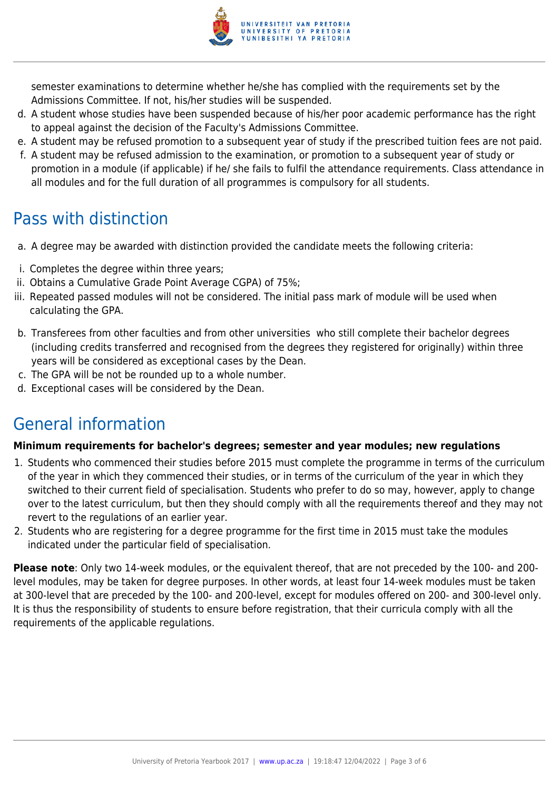

semester examinations to determine whether he/she has complied with the requirements set by the Admissions Committee. If not, his/her studies will be suspended.

- d. A student whose studies have been suspended because of his/her poor academic performance has the right to appeal against the decision of the Faculty's Admissions Committee.
- e. A student may be refused promotion to a subsequent year of study if the prescribed tuition fees are not paid.
- f. A student may be refused admission to the examination, or promotion to a subsequent year of study or promotion in a module (if applicable) if he/ she fails to fulfil the attendance requirements. Class attendance in all modules and for the full duration of all programmes is compulsory for all students.

## Pass with distinction

- a. A degree may be awarded with distinction provided the candidate meets the following criteria:
- i. Completes the degree within three years;
- ii. Obtains a Cumulative Grade Point Average CGPA) of 75%;
- iii. Repeated passed modules will not be considered. The initial pass mark of module will be used when calculating the GPA.
- b. Transferees from other faculties and from other universities who still complete their bachelor degrees (including credits transferred and recognised from the degrees they registered for originally) within three years will be considered as exceptional cases by the Dean.
- c. The GPA will be not be rounded up to a whole number.
- d. Exceptional cases will be considered by the Dean.

# General information

#### **Minimum requirements for bachelor's degrees; semester and year modules; new regulations**

- 1. Students who commenced their studies before 2015 must complete the programme in terms of the curriculum of the year in which they commenced their studies, or in terms of the curriculum of the year in which they switched to their current field of specialisation. Students who prefer to do so may, however, apply to change over to the latest curriculum, but then they should comply with all the requirements thereof and they may not revert to the regulations of an earlier year.
- 2. Students who are registering for a degree programme for the first time in 2015 must take the modules indicated under the particular field of specialisation.

**Please note**: Only two 14-week modules, or the equivalent thereof, that are not preceded by the 100- and 200 level modules, may be taken for degree purposes. In other words, at least four 14-week modules must be taken at 300-level that are preceded by the 100- and 200-level, except for modules offered on 200- and 300-level only. It is thus the responsibility of students to ensure before registration, that their curricula comply with all the requirements of the applicable regulations.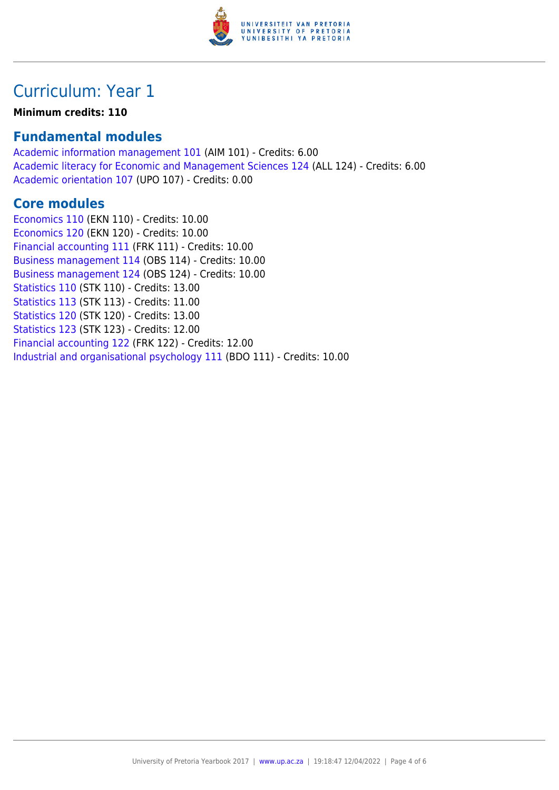

### Curriculum: Year 1

#### **Minimum credits: 110**

#### **Fundamental modules**

[Academic information management 101](https://www.up.ac.za/yearbooks/2017/modules/view/AIM 101) (AIM 101) - Credits: 6.00 [Academic literacy for Economic and Management Sciences 124](https://www.up.ac.za/yearbooks/2017/modules/view/ALL 124) (ALL 124) - Credits: 6.00 [Academic orientation 107](https://www.up.ac.za/yearbooks/2017/modules/view/UPO 107) (UPO 107) - Credits: 0.00

#### **Core modules**

[Economics 110](https://www.up.ac.za/yearbooks/2017/modules/view/EKN 110) (EKN 110) - Credits: 10.00 [Economics 120](https://www.up.ac.za/yearbooks/2017/modules/view/EKN 120) (EKN 120) - Credits: 10.00 [Financial accounting 111](https://www.up.ac.za/yearbooks/2017/modules/view/FRK 111) (FRK 111) - Credits: 10.00 [Business management 114](https://www.up.ac.za/yearbooks/2017/modules/view/OBS 114) (OBS 114) - Credits: 10.00 [Business management 124](https://www.up.ac.za/yearbooks/2017/modules/view/OBS 124) (OBS 124) - Credits: 10.00 [Statistics 110](https://www.up.ac.za/yearbooks/2017/modules/view/STK 110) (STK 110) - Credits: 13.00 [Statistics 113](https://www.up.ac.za/yearbooks/2017/modules/view/STK 113) (STK 113) - Credits: 11.00 [Statistics 120](https://www.up.ac.za/yearbooks/2017/modules/view/STK 120) (STK 120) - Credits: 13.00 [Statistics 123](https://www.up.ac.za/yearbooks/2017/modules/view/STK 123) (STK 123) - Credits: 12.00 [Financial accounting 122](https://www.up.ac.za/yearbooks/2017/modules/view/FRK 122) (FRK 122) - Credits: 12.00 [Industrial and organisational psychology 111](https://www.up.ac.za/yearbooks/2017/modules/view/BDO 111) (BDO 111) - Credits: 10.00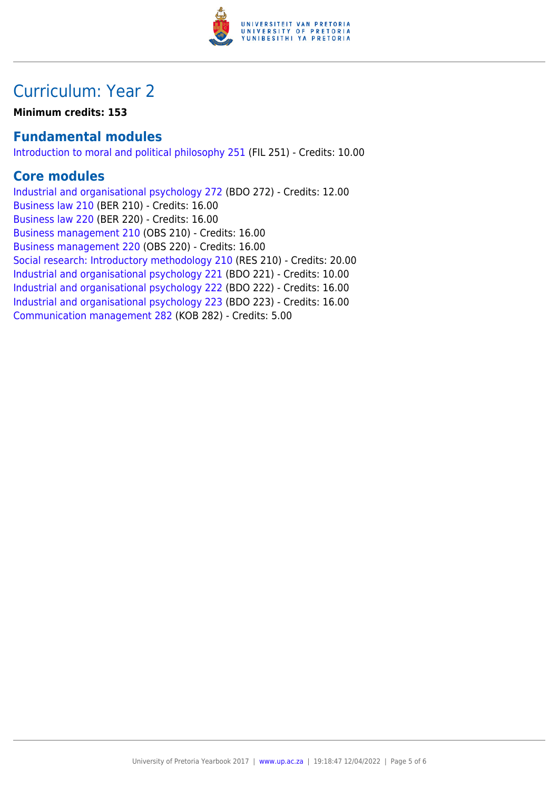

### Curriculum: Year 2

**Minimum credits: 153**

#### **Fundamental modules**

[Introduction to moral and political philosophy 251](https://www.up.ac.za/yearbooks/2017/modules/view/FIL 251) (FIL 251) - Credits: 10.00

#### **Core modules**

[Industrial and organisational psychology 272](https://www.up.ac.za/yearbooks/2017/modules/view/BDO 272) (BDO 272) - Credits: 12.00 [Business law 210](https://www.up.ac.za/yearbooks/2017/modules/view/BER 210) (BER 210) - Credits: 16.00 [Business law 220](https://www.up.ac.za/yearbooks/2017/modules/view/BER 220) (BER 220) - Credits: 16.00 [Business management 210](https://www.up.ac.za/yearbooks/2017/modules/view/OBS 210) (OBS 210) - Credits: 16.00 [Business management 220](https://www.up.ac.za/yearbooks/2017/modules/view/OBS 220) (OBS 220) - Credits: 16.00 [Social research: Introductory methodology 210](https://www.up.ac.za/yearbooks/2017/modules/view/RES 210) (RES 210) - Credits: 20.00 [Industrial and organisational psychology 221](https://www.up.ac.za/yearbooks/2017/modules/view/BDO 221) (BDO 221) - Credits: 10.00 [Industrial and organisational psychology 222](https://www.up.ac.za/yearbooks/2017/modules/view/BDO 222) (BDO 222) - Credits: 16.00 [Industrial and organisational psychology 223](https://www.up.ac.za/yearbooks/2017/modules/view/BDO 223) (BDO 223) - Credits: 16.00 [Communication management 282](https://www.up.ac.za/yearbooks/2017/modules/view/KOB 282) (KOB 282) - Credits: 5.00